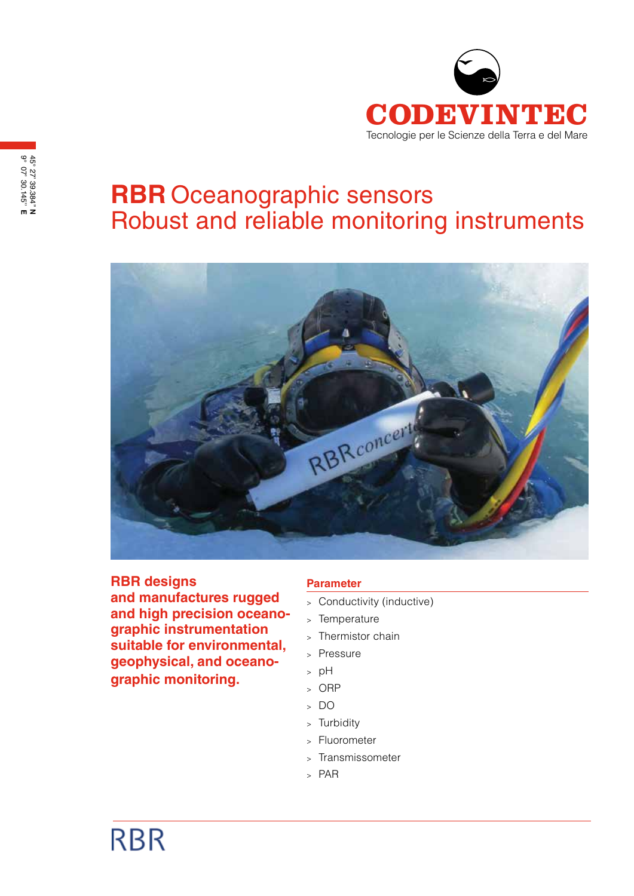

# **RBR** Oceanographic sensors Robust and reliable monitoring instruments



**RBR designs and manufactures rugged and high precision oceanographic instrumentation suitable for environmental, geophysical, and oceanographic monitoring.**

## **Parameter**

- <sup>&</sup>gt; Conductivity (inductive)
- <sup>&</sup>gt; Temperature
- <sup>&</sup>gt; Thermistor chain
- <sup>&</sup>gt; Pressure
- <sup>&</sup>gt; pH
- <sup>&</sup>gt; ORP
- <sup>&</sup>gt; DO
- <sup>&</sup>gt; Turbidity
- <sup>&</sup>gt; Fluorometer
- <sup>&</sup>gt; Transmissometer
- <sup>&</sup>gt; PAR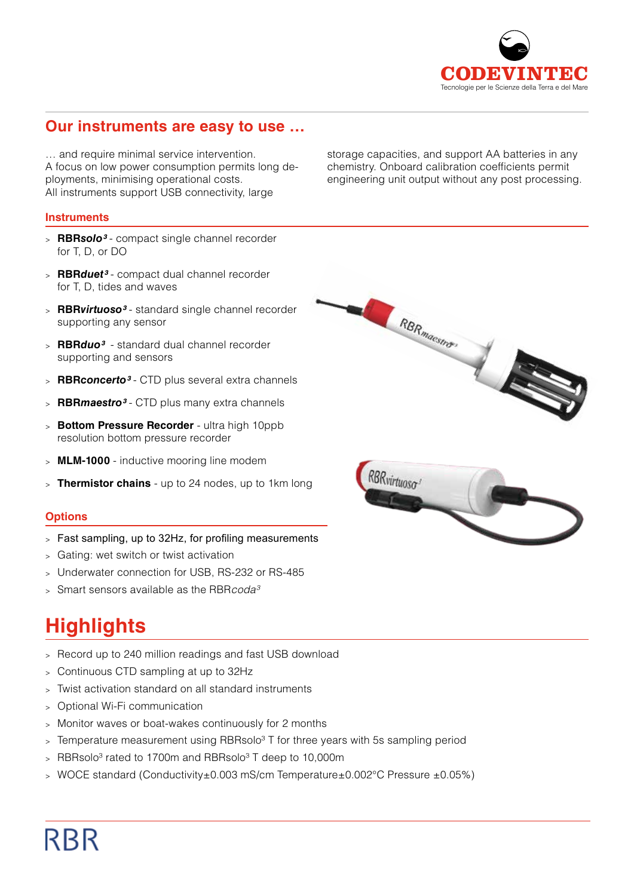

## **Our instruments are easy to use …**

… and require minimal service intervention. A focus on low power consumption permits long deployments, minimising operational costs. All instruments support USB connectivity, large

## **Instruments**

- <sup>&</sup>gt; **RBR***solo³*  compact single channel recorder for T, D, or DO
- <sup>&</sup>gt; **RBR***duet³* compact dual channel recorder for T, D, tides and waves
- <sup>&</sup>gt; **RBR***virtuoso³* standard single channel recorder supporting any sensor
- <sup>&</sup>gt; **RBR***duo³* standard dual channel recorder supporting and sensors
- <sup>&</sup>gt; **RBR***concerto³* CTD plus several extra channels
- <sup>&</sup>gt; **RBR***maestro³* CTD plus many extra channels
- <sup>&</sup>gt; **Bottom Pressure Recorder** ultra high 10ppb resolution bottom pressure recorder
- <sup>&</sup>gt; **MLM-1000** inductive mooring line modem
- <sup>&</sup>gt; **Thermistor chains** up to 24 nodes, up to 1km long

### **Options**

- <sup>&</sup>gt; Fast sampling, up to 32Hz, for profiling measurements
- <sup>&</sup>gt; Gating: wet switch or twist activation
- <sup>&</sup>gt; Underwater connection for USB, RS-232 or RS-485
- <sup>&</sup>gt; Smart sensors available as the RBR*coda³*

# **Highlights**

- <sup>&</sup>gt; Record up to 240 million readings and fast USB download
- <sup>&</sup>gt; Continuous CTD sampling at up to 32Hz
- <sup>&</sup>gt; Twist activation standard on all standard instruments
- <sup>&</sup>gt; Optional Wi-Fi communication
- <sup>&</sup>gt; Monitor waves or boat-wakes continuously for 2 months
- $>$  Temperature measurement using RBRsolo<sup>3</sup> T for three years with 5s sampling period
- $>$  RBRsolo<sup>3</sup> rated to 1700m and RBRsolo<sup>3</sup> T deep to 10,000m
- <sup>&</sup>gt; WOCE standard (Conductivity±0.003 mS/cm Temperature±0.002°C Pressure ±0.05%)



storage capacities, and support AA batteries in any chemistry. Onboard calibration coefficients permit engineering unit output without any post processing.

# **RBR**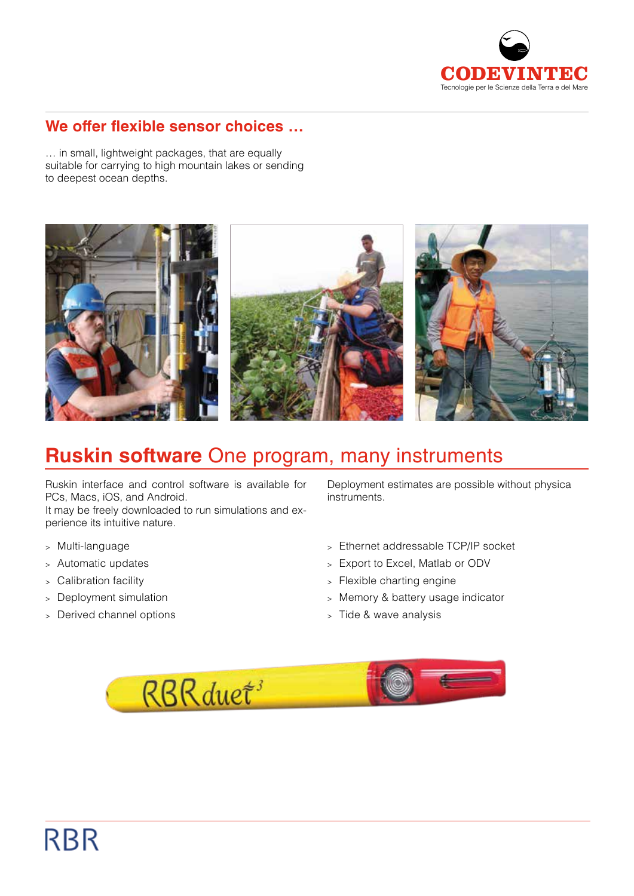

## **We offer flexible sensor choices …**

… in small, lightweight packages, that are equally suitable for carrying to high mountain lakes or sending to deepest ocean depths.



## **Ruskin software** One program, many instruments

Ruskin interface and control software is available for PCs, Macs, iOS, and Android.

It may be freely downloaded to run simulations and experience its intuitive nature.

- <sup>&</sup>gt; Multi-language
- <sup>&</sup>gt; Automatic updates
- <sup>&</sup>gt; Calibration facility
- <sup>&</sup>gt; Deployment simulation
- <sup>&</sup>gt; Derived channel options

Deployment estimates are possible without physica instruments.

- <sup>&</sup>gt; Ethernet addressable TCP/IP socket
- <sup>&</sup>gt; Export to Excel, Matlab or ODV
- <sup>&</sup>gt; Flexible charting engine
- <sup>&</sup>gt; Memory & battery usage indicator
- <sup>&</sup>gt; Tide & wave analysis